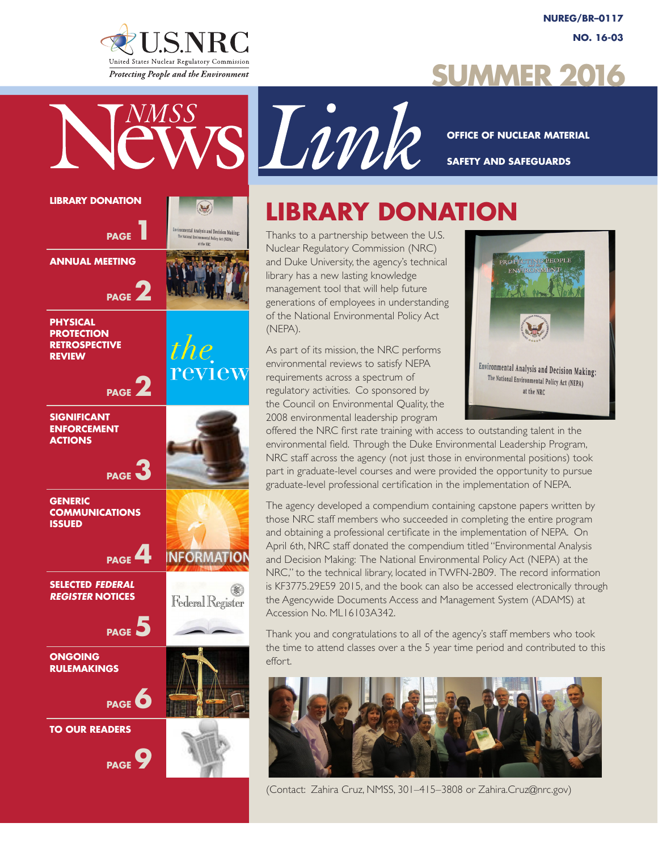

**NUREG/BR–0117 NO. 16-03**

## **SUMMER 2016**

NSLink

**OFFICE OF NUCLEAR MATERIAL SAFETY AND SAFEGUARDS**

## **LIBRARY DONATION**

Thanks to a partnership between the U.S. Nuclear Regulatory Commission (NRC) and Duke University, the agency's technical library has a new lasting knowledge management tool that will help future generations of employees in understanding of the National Environmental Policy Act (NEPA).

As part of its mission, the NRC performs environmental reviews to satisfy NEPA requirements across a spectrum of regulatory activities. Co sponsored by the Council on Environmental Quality, the 2008 environmental leadership program



offered the NRC first rate training with access to outstanding talent in the environmental field. Through the Duke Environmental Leadership Program, NRC staff across the agency (not just those in environmental positions) took part in graduate-level courses and were provided the opportunity to pursue graduate-level professional certification in the implementation of NEPA.

The agency developed a compendium containing capstone papers written by those NRC staff members who succeeded in completing the entire program and obtaining a professional certificate in the implementation of NEPA. On April 6th, NRC staff donated the compendium titled "Environmental Analysis and Decision Making: The National Environmental Policy Act (NEPA) at the NRC," to the technical library, located in TWFN-2B09. The record information is KF3775.29E59 2015, and the book can also be accessed electronically through the Agencywide Documents Access and Management System (ADAMS) at Accession No. ML16103A342.

Thank you and congratulations to all of the agency's staff members who took the time to attend classes over a the 5 year time period and contributed to this effort.



(Contact: Zahira Cruz, NMSS, 301–415–3808 or Zahira.Cruz@nrc.gov)

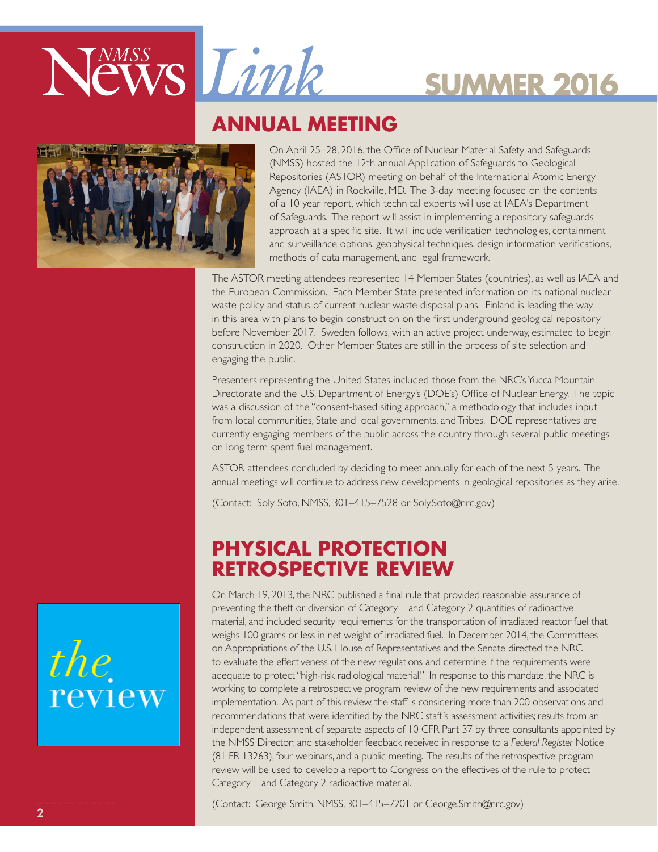

## **ANNUAL MEETING**



On April 25–28, 2016, the Office of Nuclear Material Safety and Safeguards (NMSS) hosted the 12th annual Application of Safeguards to Geological Repositories (ASTOR) meeting on behalf of the International Atomic Energy Agency (IAEA) in Rockville, MD. The 3-day meeting focused on the contents of a 10 year report, which technical experts will use at IAEA's Department of Safeguards. The report will assist in implementing a repository safeguards approach at a specific site. It will include verification technologies, containment and surveillance options, geophysical techniques, design information verifications, methods of data management, and legal framework.

The ASTOR meeting attendees represented 14 Member States (countries), as well as IAEA and the European Commission. Each Member State presented information on its national nuclear waste policy and status of current nuclear waste disposal plans. Finland is leading the way in this area, with plans to begin construction on the first underground geological repository before November 2017. Sweden follows, with an active project underway, estimated to begin construction in 2020. Other Member States are still in the process of site selection and engaging the public.

Presenters representing the United States included those from the NRC's Yucca Mountain Directorate and the U.S. Department of Energy's (DOE's) Office of Nuclear Energy. The topic was a discussion of the "consent-based siting approach," a methodology that includes input from local communities, State and local governments, and Tribes. DOE representatives are currently engaging members of the public across the country through several public meetings on long term spent fuel management.

ASTOR attendees concluded by deciding to meet annually for each of the next 5 years. The annual meetings will continue to address new developments in geological repositories as they arise.

(Contact: Soly Soto, NMSS, 301–415–7528 or Soly.Soto@nrc.gov)

## **PHYSICAL PROTECTION RETROSPECTIVE REVIEW**

On March 19, 2013, the NRC published a final rule that provided reasonable assurance of preventing the theft or diversion of Category 1 and Category 2 quantities of radioactive material, and included security requirements for the transportation of irradiated reactor fuel that weighs 100 grams or less in net weight of irradiated fuel. In December 2014, the Committees on Appropriations of the U.S. House of Representatives and the Senate directed the NRC to evaluate the effectiveness of the new regulations and determine if the requirements were adequate to protect "high-risk radiological material." In response to this mandate, the NRC is working to complete a retrospective program review of the new requirements and associated implementation. As part of this review, the staff is considering more than 200 observations and recommendations that were identified by the NRC staff's assessment activities; results from an independent assessment of separate aspects of 10 CFR Part 37 by three consultants appointed by the NMSS Director; and stakeholder feedback received in response to a *Federal Register* Notice (81 FR 13263), four webinars, and a public meeting. The results of the retrospective program review will be used to develop a report to Congress on the effectives of the rule to protect Category 1 and Category 2 radioactive material.

(Contact: George Smith, NMSS, 301–415–7201 or George.Smith@nrc.gov)

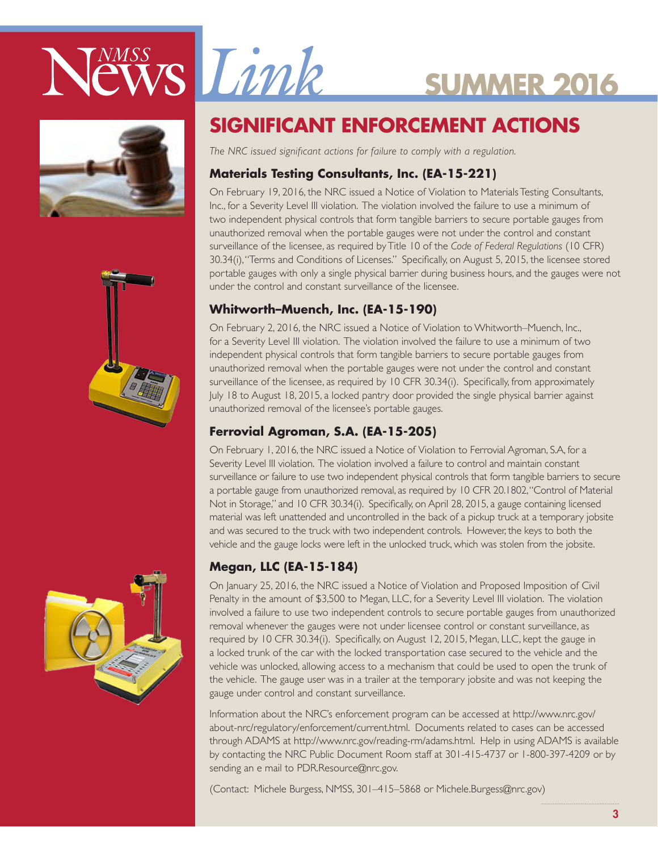







## **SIGNIFICANT ENFORCEMENT ACTIONS**

*The NRC issued significant actions for failure to comply with a regulation.*

#### **Materials Testing Consultants, Inc. (EA-15-221)**

On February 19, 2016, the NRC issued a Notice of Violation to Materials Testing Consultants, Inc., for a Severity Level III violation. The violation involved the failure to use a minimum of two independent physical controls that form tangible barriers to secure portable gauges from unauthorized removal when the portable gauges were not under the control and constant surveillance of the licensee, as required by Title 10 of the *Code of Federal Regulations* (10 CFR) 30.34(i), "Terms and Conditions of Licenses." Specifically, on August 5, 2015, the licensee stored portable gauges with only a single physical barrier during business hours, and the gauges were not under the control and constant surveillance of the licensee.

**SUMMER 2016**

#### **Whitworth–Muench, Inc. (EA-15-190)**

On February 2, 2016, the NRC issued a Notice of Violation to Whitworth–Muench, Inc., for a Severity Level III violation. The violation involved the failure to use a minimum of two independent physical controls that form tangible barriers to secure portable gauges from unauthorized removal when the portable gauges were not under the control and constant surveillance of the licensee, as required by 10 CFR 30.34(i). Specifically, from approximately July 18 to August 18, 2015, a locked pantry door provided the single physical barrier against unauthorized removal of the licensee's portable gauges.

#### **Ferrovial Agroman, S.A. (EA-15-205)**

On February 1, 2016, the NRC issued a Notice of Violation to Ferrovial Agroman, S.A, for a Severity Level III violation. The violation involved a failure to control and maintain constant surveillance or failure to use two independent physical controls that form tangible barriers to secure a portable gauge from unauthorized removal, as required by 10 CFR 20.1802, "Control of Material Not in Storage," and 10 CFR 30.34(i). Specifically, on April 28, 2015, a gauge containing licensed material was left unattended and uncontrolled in the back of a pickup truck at a temporary jobsite and was secured to the truck with two independent controls. However, the keys to both the vehicle and the gauge locks were left in the unlocked truck, which was stolen from the jobsite.

#### **Megan, LLC (EA-15-184)**

On January 25, 2016, the NRC issued a Notice of Violation and Proposed Imposition of Civil Penalty in the amount of \$3,500 to Megan, LLC, for a Severity Level III violation. The violation involved a failure to use two independent controls to secure portable gauges from unauthorized removal whenever the gauges were not under licensee control or constant surveillance, as required by 10 CFR 30.34(i). Specifically, on August 12, 2015, Megan, LLC, kept the gauge in a locked trunk of the car with the locked transportation case secured to the vehicle and the vehicle was unlocked, allowing access to a mechanism that could be used to open the trunk of the vehicle. The gauge user was in a trailer at the temporary jobsite and was not keeping the gauge under control and constant surveillance.

Information about the NRC's enforcement program can be accessed at http://www.nrc.gov/ about-nrc/regulatory/enforcement/current.html. Documents related to cases can be accessed through ADAMS at http://www.nrc.gov/reading-rm/adams.html. Help in using ADAMS is available by contacting the NRC Public Document Room staff at 301-415-4737 or 1-800-397-4209 or by sending an e mail to PDR.Resource@nrc.gov.

(Contact: Michele Burgess, NMSS, 301–415–5868 or Michele.Burgess@nrc.gov)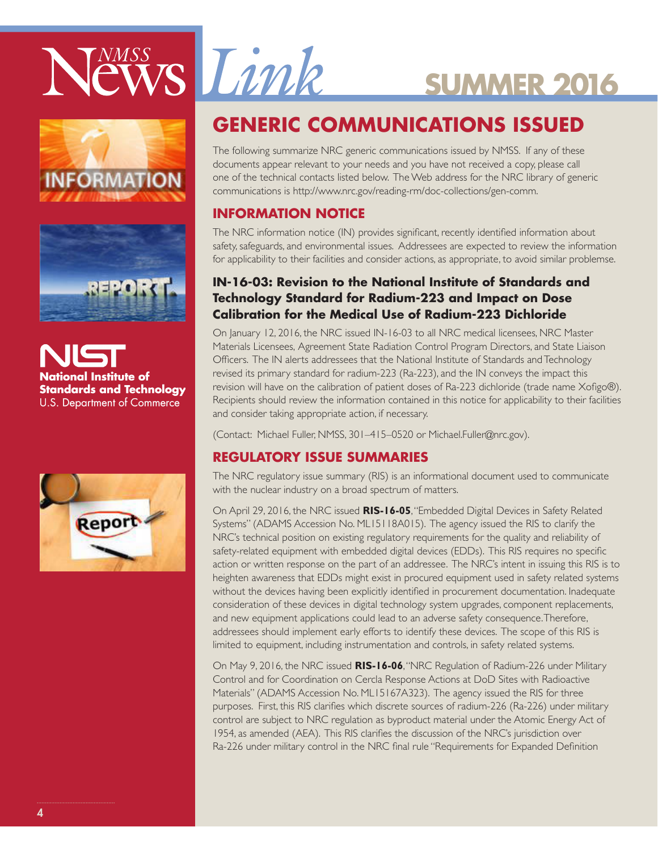





**National Institute of Standards and Technology** U.S. Department of Commerce





# **SUMMER 2016**

## **GENERIC COMMUNICATIONS ISSUED**

The following summarize NRC generic communications issued by NMSS. If any of these documents appear relevant to your needs and you have not received a copy, please call one of the technical contacts listed below. The Web address for the NRC library of generic communications is http://www.nrc.gov/reading-rm/doc-collections/gen-comm.

### **INFORMATION NOTICE**

The NRC information notice (IN) provides significant, recently identified information about safety, safeguards, and environmental issues. Addressees are expected to review the information for applicability to their facilities and consider actions, as appropriate, to avoid similar problemse.

#### **IN-16-03: Revision to the National Institute of Standards and Technology Standard for Radium-223 and Impact on Dose Calibration for the Medical Use of Radium-223 Dichloride**

On January 12, 2016, the NRC issued IN-16-03 to all NRC medical licensees, NRC Master Materials Licensees, Agreement State Radiation Control Program Directors, and State Liaison Officers. The IN alerts addressees that the National Institute of Standards and Technology revised its primary standard for radium-223 (Ra-223), and the IN conveys the impact this revision will have on the calibration of patient doses of Ra-223 dichloride (trade name Xofigo®). Recipients should review the information contained in this notice for applicability to their facilities and consider taking appropriate action, if necessary.

(Contact: Michael Fuller, NMSS, 301–415–0520 or Michael.Fuller@nrc.gov).

#### **REGULATORY ISSUE SUMMARIES**

The NRC regulatory issue summary (RIS) is an informational document used to communicate with the nuclear industry on a broad spectrum of matters.

On April 29, 2016, the NRC issued **RIS-16-05**, "Embedded Digital Devices in Safety Related Systems" (ADAMS Accession No. ML15118A015). The agency issued the RIS to clarify the NRC's technical position on existing regulatory requirements for the quality and reliability of safety-related equipment with embedded digital devices (EDDs). This RIS requires no specific action or written response on the part of an addressee. The NRC's intent in issuing this RIS is to heighten awareness that EDDs might exist in procured equipment used in safety related systems without the devices having been explicitly identified in procurement documentation. Inadequate consideration of these devices in digital technology system upgrades, component replacements, and new equipment applications could lead to an adverse safety consequence. Therefore, addressees should implement early efforts to identify these devices. The scope of this RIS is limited to equipment, including instrumentation and controls, in safety related systems.

On May 9, 2016, the NRC issued **RIS-16-06**, "NRC Regulation of Radium-226 under Military Control and for Coordination on Cercla Response Actions at DoD Sites with Radioactive Materials" (ADAMS Accession No. ML15167A323). The agency issued the RIS for three purposes. First, this RIS clarifies which discrete sources of radium-226 (Ra-226) under military control are subject to NRC regulation as byproduct material under the Atomic Energy Act of 1954, as amended (AEA). This RIS clarifies the discussion of the NRC's jurisdiction over Ra-226 under military control in the NRC final rule "Requirements for Expanded Definition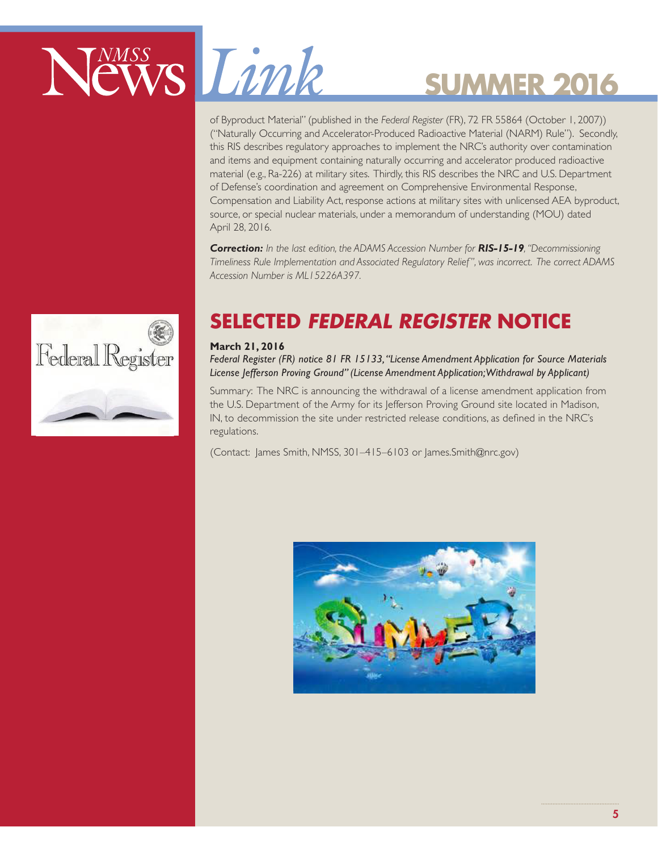

of Byproduct Material" (published in the *Federal Register* (FR), 72 FR 55864 (October 1, 2007)) ("Naturally Occurring and Accelerator-Produced Radioactive Material (NARM) Rule"). Secondly, this RIS describes regulatory approaches to implement the NRC's authority over contamination and items and equipment containing naturally occurring and accelerator produced radioactive material (e.g., Ra-226) at military sites. Thirdly, this RIS describes the NRC and U.S. Department of Defense's coordination and agreement on Comprehensive Environmental Response, Compensation and Liability Act, response actions at military sites with unlicensed AEA byproduct, source, or special nuclear materials, under a memorandum of understanding (MOU) dated April 28, 2016.

*Correction: In the last edition, the ADAMS Accession Number for RIS-15-19, "Decommissioning Timeliness Rule Implementation and Associated Regulatory Relief", was incorrect. The correct ADAMS Accession Number is ML15226A397.*

## **SELECTED** *FEDERAL REGISTER* **NOTICE**

#### **March 21, 2016**

*Federal Register (FR) notice 81 FR 15133, "License Amendment Application for Source Materials License Jefferson Proving Ground" (License Amendment Application; Withdrawal by Applicant)* 

Summary: The NRC is announcing the withdrawal of a license amendment application from the U.S. Department of the Army for its Jefferson Proving Ground site located in Madison, IN, to decommission the site under restricted release conditions, as defined in the NRC's regulations.

(Contact: James Smith, NMSS, 301–415–6103 or James.Smith@nrc.gov)



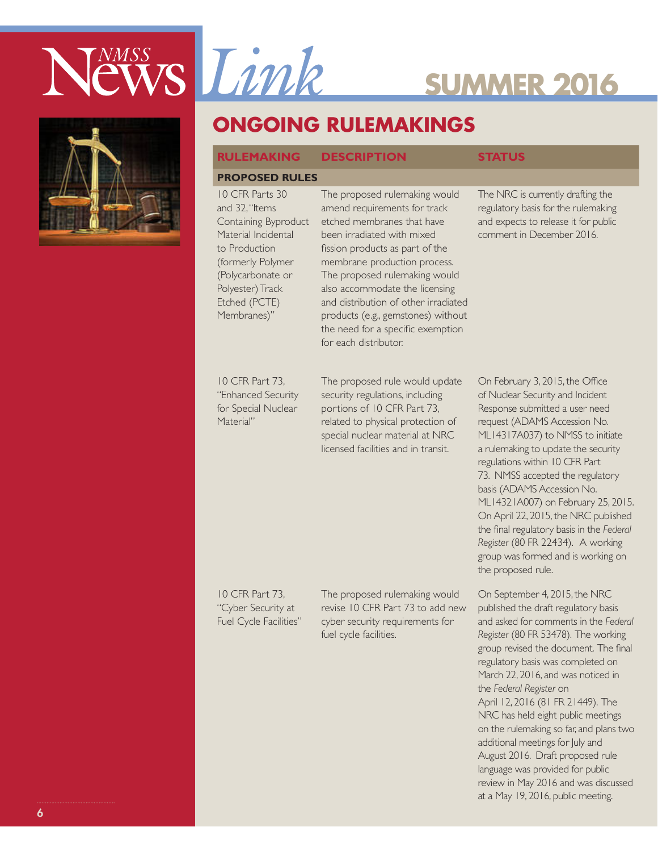

## **ONGOING RULEMAKINGS**

#### **RULEMAKING DESCRIPTION STATUS**

#### **PROPOSED RULES**

10 CFR Parts 30 and 32, "Items Containing Byproduct Material Incidental to Production (formerly Polymer (Polycarbonate or Polyester) Track Etched (PCTE) Membranes)"

The proposed rulemaking would amend requirements for track etched membranes that have been irradiated with mixed fission products as part of the membrane production process. The proposed rulemaking would also accommodate the licensing and distribution of other irradiated products (e.g., gemstones) without the need for a specific exemption for each distributor.

The NRC is currently drafting the regulatory basis for the rulemaking and expects to release it for public comment in December 2016.

10 CFR Part 73, "Enhanced Security for Special Nuclear Material"

The proposed rule would update security regulations, including portions of 10 CFR Part 73, related to physical protection of special nuclear material at NRC licensed facilities and in transit.

On February 3, 2015, the Office of Nuclear Security and Incident Response submitted a user need request (ADAMS Accession No. ML14317A037) to NMSS to initiate a rulemaking to update the security regulations within 10 CFR Part 73. NMSS accepted the regulatory basis (ADAMS Accession No. ML14321A007) on February 25, 2015. On April 22, 2015, the NRC published the final regulatory basis in the *Federal Register* (80 FR 22434). A working group was formed and is working on the proposed rule.

10 CFR Part 73, "Cyber Security at Fuel Cycle Facilities" The proposed rulemaking would revise 10 CFR Part 73 to add new cyber security requirements for fuel cycle facilities.

On September 4, 2015, the NRC published the draft regulatory basis and asked for comments in the *Federal Register* (80 FR 53478). The working group revised the document. The final regulatory basis was completed on March 22, 2016, and was noticed in the *Federal Register* on April 12, 2016 (81 FR 21449). The NRC has held eight public meetings on the rulemaking so far, and plans two additional meetings for July and August 2016. Draft proposed rule language was provided for public review in May 2016 and was discussed at a May 19, 2016, public meeting.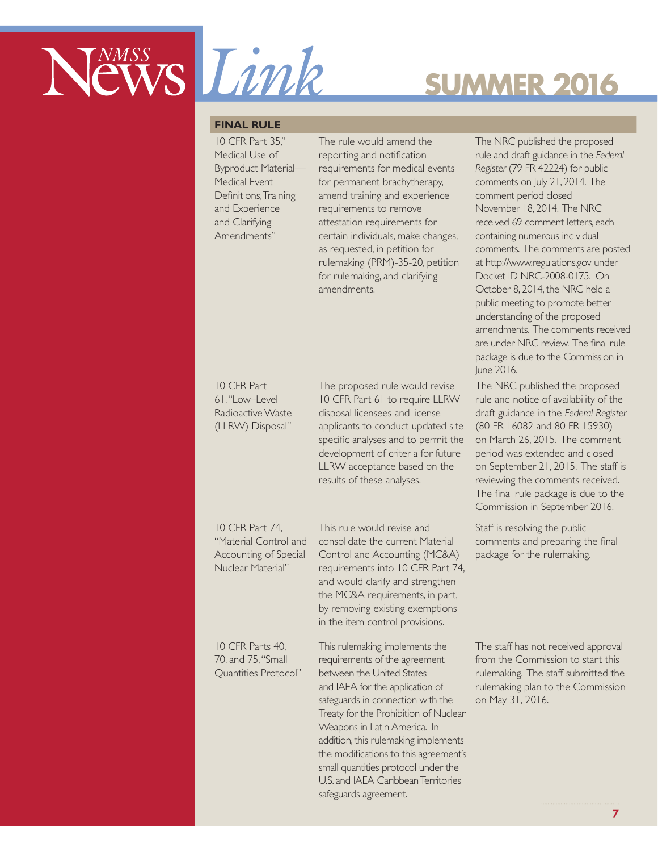# News Limk

# **SUMMER 2016**

#### **FINAL RULE**

10 CFR Part 35," Medical Use of Byproduct Material— Medical Event Definitions, Training and Experience and Clarifying Amendments"

The rule would amend the reporting and notification requirements for medical events for permanent brachytherapy, amend training and experience requirements to remove attestation requirements for certain individuals, make changes, as requested, in petition for rulemaking (PRM)-35-20, petition for rulemaking, and clarifying amendments.

The proposed rule would revise 10 CFR Part 61 to require LLRW disposal licensees and license applicants to conduct updated site specific analyses and to permit the development of criteria for future LLRW acceptance based on the results of these analyses.

10 CFR Part 74, "Material Control and Accounting of Special Nuclear Material"

10 CFR Part 61, "Low–Level Radioactive Waste (LLRW) Disposal"

> This rule would revise and consolidate the current Material Control and Accounting (MC&A) requirements into 10 CFR Part 74, and would clarify and strengthen the MC&A requirements, in part, by removing existing exemptions in the item control provisions.

10 CFR Parts 40, 70, and 75, "Small Quantities Protocol" This rulemaking implements the requirements of the agreement between the United States and IAEA for the application of safeguards in connection with the Treaty for the Prohibition of Nuclear Weapons in Latin America. In addition, this rulemaking implements the modifications to this agreement's small quantities protocol under the U.S. and IAEA Caribbean Territories safeguards agreement.

The NRC published the proposed rule and draft guidance in the *Federal Register* (79 FR 42224) for public comments on July 21, 2014. The comment period closed November 18, 2014. The NRC received 69 comment letters, each containing numerous individual comments. The comments are posted at http://www.regulations.gov under Docket ID NRC-2008-0175. On October 8, 2014, the NRC held a public meeting to promote better understanding of the proposed amendments. The comments received are under NRC review. The final rule package is due to the Commission in June 2016.

The NRC published the proposed rule and notice of availability of the draft guidance in the *Federal Register* (80 FR 16082 and 80 FR 15930) on March 26, 2015. The comment period was extended and closed on September 21, 2015. The staff is reviewing the comments received. The final rule package is due to the Commission in September 2016.

Staff is resolving the public comments and preparing the final package for the rulemaking.

The staff has not received approval from the Commission to start this rulemaking. The staff submitted the rulemaking plan to the Commission on May 31, 2016.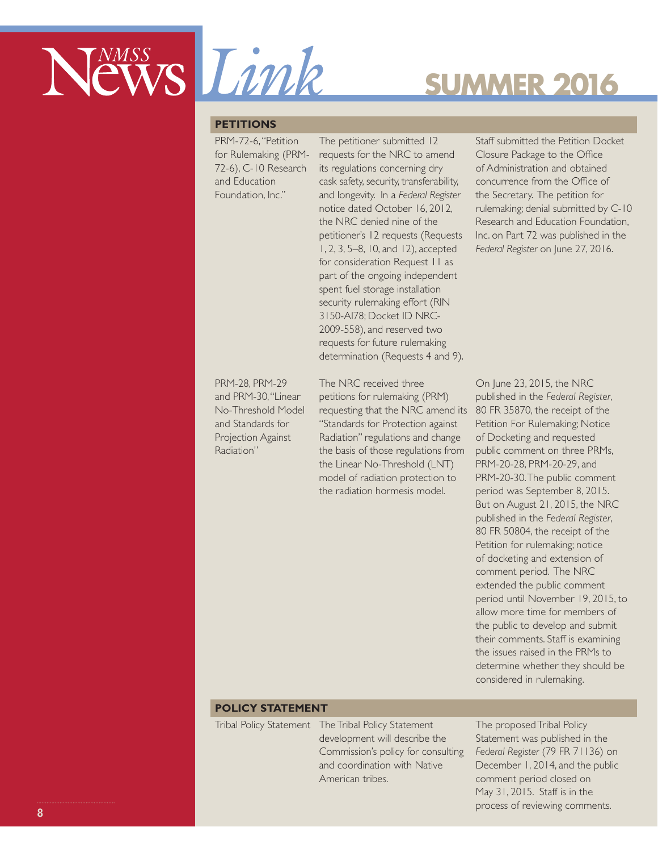

#### **PETITIONS**

PRM-72-6, "Petition for Rulemaking (PRM-72-6), C-10 Research and Education Foundation, Inc."

The petitioner submitted 12 requests for the NRC to amend its regulations concerning dry cask safety, security, transferability, and longevity. In a *Federal Register* notice dated October 16, 2012, the NRC denied nine of the petitioner's 12 requests (Requests 1, 2, 3, 5–8, 10, and 12), accepted for consideration Request 11 as part of the ongoing independent spent fuel storage installation security rulemaking effort (RIN 3150-AI78; Docket ID NRC-2009-558), and reserved two requests for future rulemaking determination (Requests 4 and 9).

Staff submitted the Petition Docket Closure Package to the Office of Administration and obtained concurrence from the Office of the Secretary. The petition for rulemaking; denial submitted by C-10 Research and Education Foundation, Inc. on Part 72 was published in the *Federal Register* on June 27, 2016.

PRM-28, PRM-29 and PRM-30, "Linear No-Threshold Model and Standards for Projection Against Radiation"

The NRC received three petitions for rulemaking (PRM) requesting that the NRC amend its 80 FR 35870, the receipt of the "Standards for Protection against Radiation" regulations and change the basis of those regulations from the Linear No-Threshold (LNT) model of radiation protection to the radiation hormesis model.

On June 23, 2015, the NRC published in the *Federal Register*, Petition For Rulemaking; Notice of Docketing and requested public comment on three PRMs, PRM-20-28, PRM-20-29, and PRM-20-30. The public comment period was September 8, 2015. But on August 21, 2015, the NRC published in the *Federal Register*, 80 FR 50804, the receipt of the Petition for rulemaking; notice of docketing and extension of comment period. The NRC extended the public comment period until November 19, 2015, to allow more time for members of the public to develop and submit their comments. Staff is examining the issues raised in the PRMs to determine whether they should be considered in rulemaking.

#### **POLICY STATEMENT**

Tribal Policy Statement The Tribal Policy Statement

development will describe the Commission's policy for consulting and coordination with Native American tribes.

The proposed Tribal Policy Statement was published in the *Federal Register* (79 FR 71136) on December 1, 2014, and the public comment period closed on May 31, 2015. Staff is in the process of reviewing comments.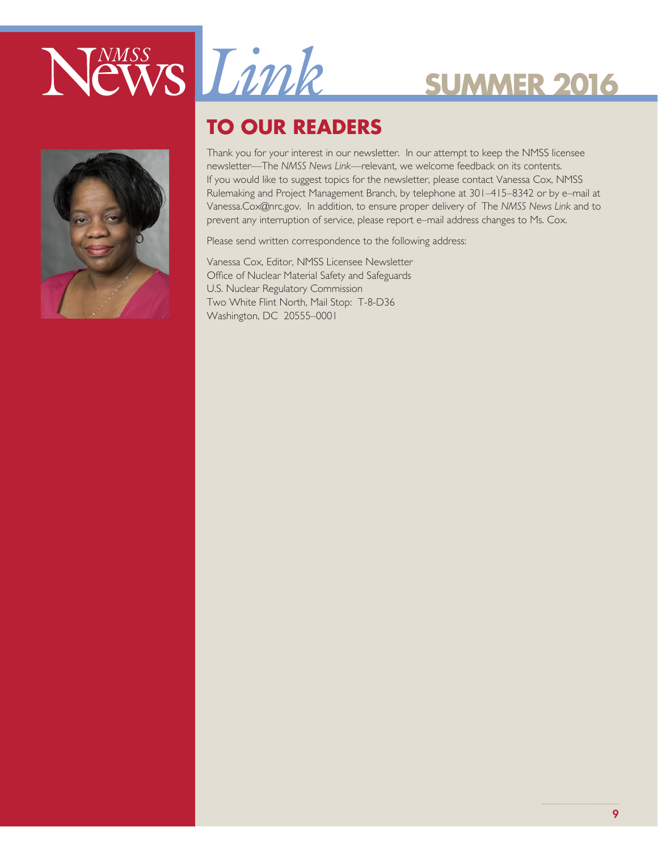



## **TO OUR READERS**

Thank you for your interest in our newsletter. In our attempt to keep the NMSS licensee newsletter—The *NMSS News Link*—relevant, we welcome feedback on its contents. If you would like to suggest topics for the newsletter, please contact Vanessa Cox, NMSS Rulemaking and Project Management Branch, by telephone at 301–415–8342 or by e–mail at Vanessa.Cox@nrc.gov. In addition, to ensure proper delivery of The *NMSS News Link* and to prevent any interruption of service, please report e–mail address changes to Ms. Cox.

Please send written correspondence to the following address:

Vanessa Cox, Editor, NMSS Licensee Newsletter Office of Nuclear Material Safety and Safeguards U.S. Nuclear Regulatory Commission Two White Flint North, Mail Stop: T-8-D36 Washington, DC 20555–0001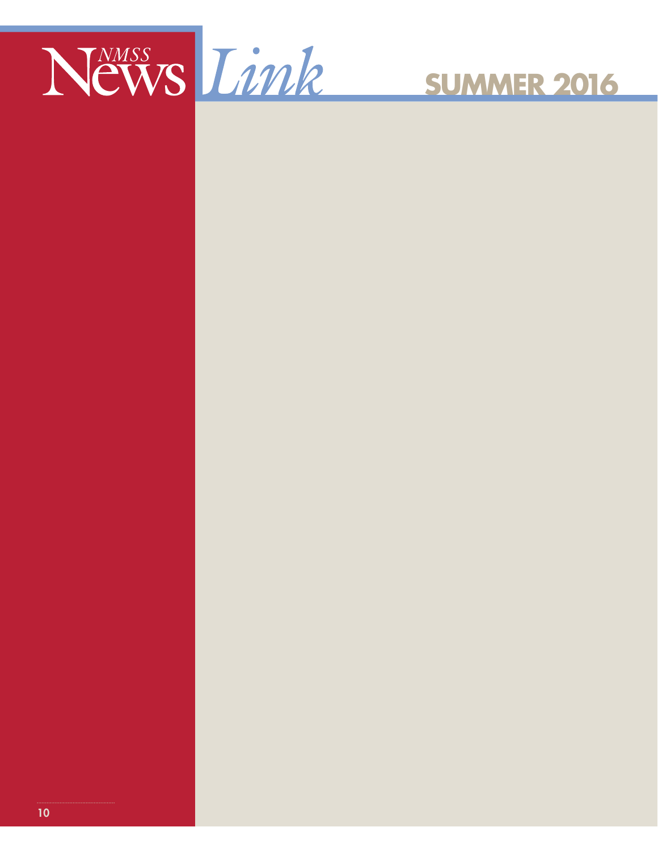

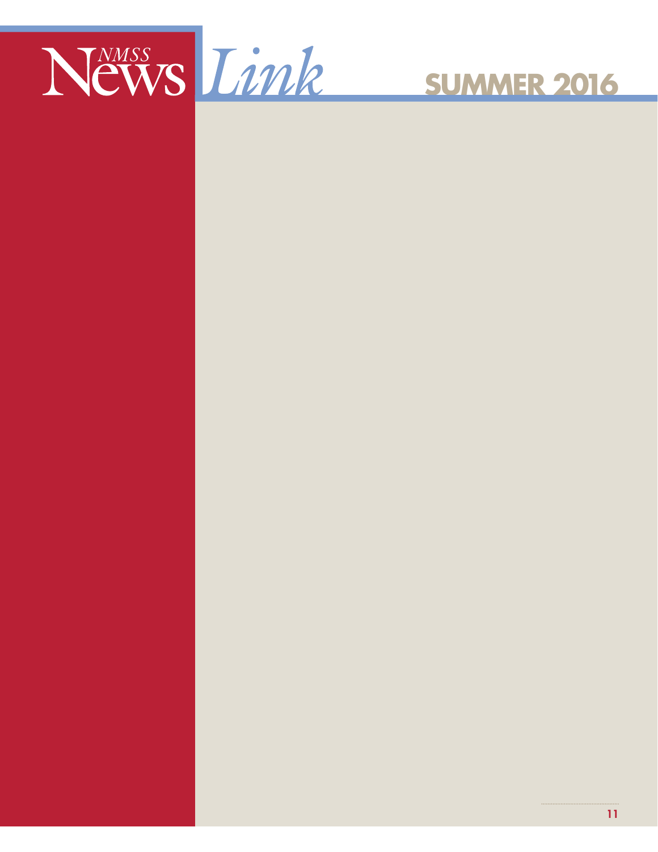





11